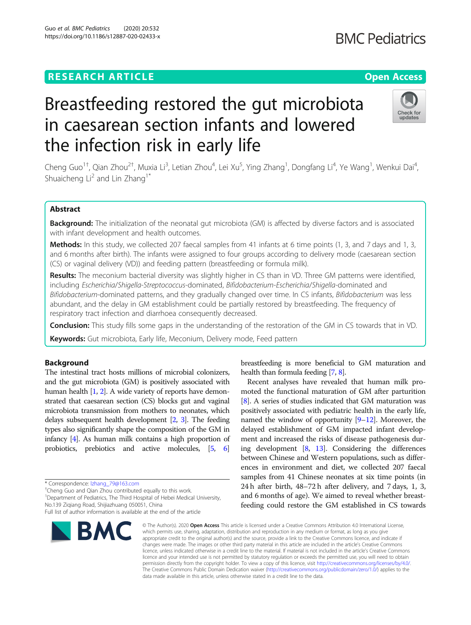## **RESEARCH ARTICLE Example 2014 12:30 The Contract of Contract ACCESS**

# Breastfeeding restored the gut microbiota in caesarean section infants and lowered the infection risk in early life

Cheng Guo<sup>1†</sup>, Qian Zhou<sup>2†</sup>, Muxia Li<sup>3</sup>, Letian Zhou<sup>4</sup>, Lei Xu<sup>5</sup>, Ying Zhang<sup>1</sup>, Dongfang Li<sup>4</sup>, Ye Wang<sup>1</sup>, Wenkui Dai<sup>4</sup> , Shuaicheng Li<sup>2</sup> and Lin Zhang<sup>1\*</sup>

## Abstract

Background: The initialization of the neonatal gut microbiota (GM) is affected by diverse factors and is associated with infant development and health outcomes.

Methods: In this study, we collected 207 faecal samples from 41 infants at 6 time points (1, 3, and 7 days and 1, 3, and 6 months after birth). The infants were assigned to four groups according to delivery mode (caesarean section (CS) or vaginal delivery (VD)) and feeding pattern (breastfeeding or formula milk).

Results: The meconium bacterial diversity was slightly higher in CS than in VD. Three GM patterns were identified, including Escherichia/Shigella-Streptococcus-dominated, Bifidobacterium-Escherichia/Shigella-dominated and Bifidobacterium-dominated patterns, and they gradually changed over time. In CS infants, Bifidobacterium was less abundant, and the delay in GM establishment could be partially restored by breastfeeding. The frequency of respiratory tract infection and diarrhoea consequently decreased.

**Conclusion:** This study fills some gaps in the understanding of the restoration of the GM in CS towards that in VD.

Keywords: Gut microbiota, Early life, Meconium, Delivery mode, Feed pattern

## Background

The intestinal tract hosts millions of microbial colonizers, and the gut microbiota (GM) is positively associated with human health [\[1,](#page-4-0) [2](#page-4-0)]. A wide variety of reports have demonstrated that caesarean section (CS) blocks gut and vaginal microbiota transmission from mothers to neonates, which delays subsequent health development [\[2,](#page-4-0) [3](#page-4-0)]. The feeding types also significantly shape the composition of the GM in infancy [[4](#page-4-0)]. As human milk contains a high proportion of probiotics, prebiotics and active molecules, [\[5,](#page-4-0) [6](#page-4-0)]

\* Correspondence: [lzhang\\_79@163.com](mailto:lzhang_79@163.com) †

BMC

<sup>†</sup>Cheng Guo and Qian Zhou contributed equally to this work.

<sup>1</sup>Department of Pediatrics, The Third Hospital of Hebei Medical University, No.139 Ziqiang Road, Shijiazhuang 050051, China

[[8\]](#page-4-0). A series of studies indicated that GM maturation was positively associated with pediatric health in the early life, named the window of opportunity  $[9-12]$  $[9-12]$  $[9-12]$  $[9-12]$ . Moreover, the

breastfeeding is more beneficial to GM maturation and

Recent analyses have revealed that human milk promoted the functional maturation of GM after parturition

delayed establishment of GM impacted infant development and increased the risks of disease pathogenesis during development [\[8](#page-4-0), [13\]](#page-4-0). Considering the differences between Chinese and Western populations, such as differ-

ences in environment and diet, we collected 207 faecal samples from 41 Chinese neonates at six time points (in 24 h after birth, 48–72 h after delivery, and 7 days, 1, 3, and 6 months of age). We aimed to reveal whether breastfeeding could restore the GM established in CS towards © The Author(s), 2020 **Open Access** This article is licensed under a Creative Commons Attribution 4.0 International License,

health than formula feeding [\[7,](#page-4-0) [8\]](#page-4-0).

which permits use, sharing, adaptation, distribution and reproduction in any medium or format, as long as you give appropriate credit to the original author(s) and the source, provide a link to the Creative Commons licence, and indicate if changes were made. The images or other third party material in this article are included in the article's Creative Commons licence, unless indicated otherwise in a credit line to the material. If material is not included in the article's Creative Commons licence and your intended use is not permitted by statutory regulation or exceeds the permitted use, you will need to obtain permission directly from the copyright holder. To view a copy of this licence, visit [http://creativecommons.org/licenses/by/4.0/.](http://creativecommons.org/licenses/by/4.0/) The Creative Commons Public Domain Dedication waiver [\(http://creativecommons.org/publicdomain/zero/1.0/](http://creativecommons.org/publicdomain/zero/1.0/)) applies to the data made available in this article, unless otherwise stated in a credit line to the data.





Full list of author information is available at the end of the article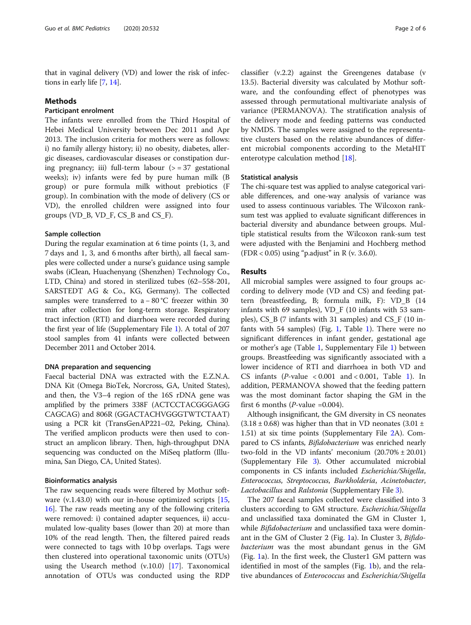that in vaginal delivery (VD) and lower the risk of infections in early life [[7,](#page-4-0) [14\]](#page-4-0).

#### Methods

### Participant enrolment

The infants were enrolled from the Third Hospital of Hebei Medical University between Dec 2011 and Apr 2013. The inclusion criteria for mothers were as follows: i) no family allergy history; ii) no obesity, diabetes, allergic diseases, cardiovascular diseases or constipation during pregnancy; iii) full-term labour  $(>= 37$  gestational weeks); iv) infants were fed by pure human milk (B group) or pure formula milk without prebiotics (F group). In combination with the mode of delivery (CS or VD), the enrolled children were assigned into four groups (VD\_B, VD\_F, CS\_B and CS\_F).

#### Sample collection

During the regular examination at 6 time points (1, 3, and 7 days and 1, 3, and 6 months after birth), all faecal samples were collected under a nurse's guidance using sample swabs (iClean, Huachenyang (Shenzhen) Technology Co., LTD, China) and stored in sterilized tubes (62–558-201, SARSTEDT AG & Co., KG, Germany). The collected samples were transferred to a − 80 °C freezer within 30 min after collection for long-term storage. Respiratory tract infection (RTI) and diarrhoea were recorded during the first year of life (Supplementary File [1\)](#page-4-0). A total of 207 stool samples from 41 infants were collected between December 2011 and October 2014.

#### DNA preparation and sequencing

Faecal bacterial DNA was extracted with the E.Z.N.A. DNA Kit (Omega BioTek, Norcross, GA, United States), and then, the V3–4 region of the 16S rDNA gene was amplified by the primers 338F (ACTCCTACGGGAGG CAGCAG) and 806R (GGACTACHVGGGTWTCTAAT) using a PCR kit (TransGenAP221–02, Peking, China). The verified amplicon products were then used to construct an amplicon library. Then, high-throughput DNA sequencing was conducted on the MiSeq platform (Illumina, San Diego, CA, United States).

#### Bioinformatics analysis

The raw sequencing reads were filtered by Mothur software (v.1.43.0) with our in-house optimized scripts [[15](#page-4-0), [16\]](#page-4-0). The raw reads meeting any of the following criteria were removed: i) contained adapter sequences, ii) accumulated low-quality bases (lower than 20) at more than 10% of the read length. Then, the filtered paired reads were connected to tags with 10 bp overlaps. Tags were then clustered into operational taxonomic units (OTUs) using the Usearch method (v.10.0) [\[17](#page-4-0)]. Taxonomical annotation of OTUs was conducted using the RDP

classifier (v.2.2) against the Greengenes database (v 13.5). Bacterial diversity was calculated by Mothur software, and the confounding effect of phenotypes was assessed through permutational multivariate analysis of variance (PERMANOVA). The stratification analysis of the delivery mode and feeding patterns was conducted by NMDS. The samples were assigned to the representative clusters based on the relative abundances of different microbial components according to the MetaHIT enterotype calculation method [[18\]](#page-4-0).

#### Statistical analysis

The chi-square test was applied to analyse categorical variable differences, and one-way analysis of variance was used to assess continuous variables. The Wilcoxon ranksum test was applied to evaluate significant differences in bacterial diversity and abundance between groups. Multiple statistical results from the Wilcoxon rank-sum test were adjusted with the Benjamini and Hochberg method (FDR < 0.05) using "p.adjust" in R (v. 3.6.0).

## Results

All microbial samples were assigned to four groups according to delivery mode (VD and CS) and feeding pattern (breastfeeding, B; formula milk, F): VD\_B (14 infants with 69 samples), VD\_F (10 infants with 53 samples), CS\_B (7 infants with 31 samples) and CS\_F (10 infants with 54 samples) (Fig. [1,](#page-3-0) Table [1](#page-3-0)). There were no significant differences in infant gender, gestational age or mother's age (Table [1](#page-3-0), Supplementary File [1\)](#page-4-0) between groups. Breastfeeding was significantly associated with a lower incidence of RTI and diarrhoea in both VD and CS infants ( $P$ -value < 0.001 and < 0.001, Table [1\)](#page-3-0). In addition, PERMANOVA showed that the feeding pattern was the most dominant factor shaping the GM in the first 6 months ( $P$ -value =0.004).

Although insignificant, the GM diversity in CS neonates  $(3.18 \pm 0.68)$  was higher than that in VD neonates  $(3.01 \pm 1.004)$ 1.51) at six time points (Supplementary File [2A](#page-4-0)). Compared to CS infants, Bifidobacterium was enriched nearly two-fold in the VD infants' meconium  $(20.70\% \pm 20.01)$ (Supplementary File [3\)](#page-4-0). Other accumulated microbial components in CS infants included Escherichia/Shigella, Enterococcus, Streptococcus, Burkholderia, Acinetobacter, Lactobacillus and Ralstonia (Supplementary File [3](#page-4-0)).

The 207 faecal samples collected were classified into 3 clusters according to GM structure. Escherichia/Shigella and unclassified taxa dominated the GM in Cluster 1, while *Bifidobacterium* and unclassified taxa were dominant in the GM of Cluster 2 (Fig. [1](#page-3-0)a). In Cluster 3, Bifidobacterium was the most abundant genus in the GM (Fig. [1a](#page-3-0)). In the first week, the Cluster1 GM pattern was identified in most of the samples (Fig. [1](#page-3-0)b), and the relative abundances of Enterococcus and Escherichia/Shigella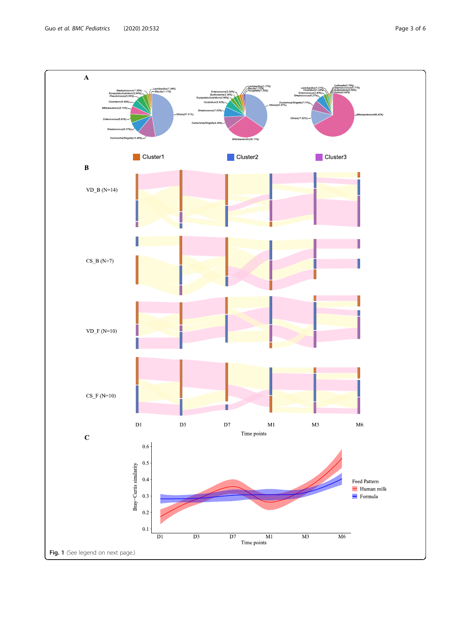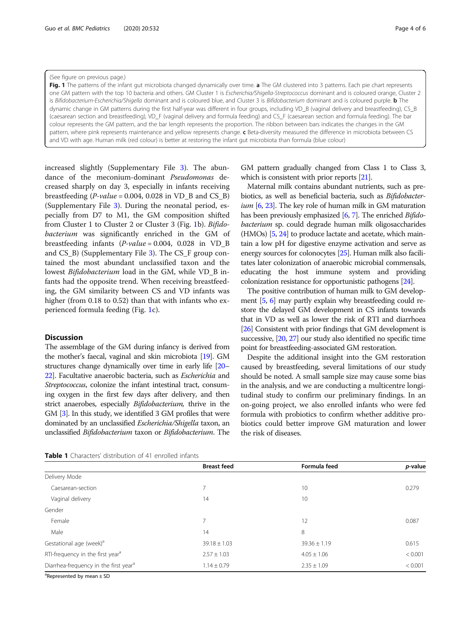#### <span id="page-3-0"></span>(See figure on previous page.)

Fig. 1 The patterns of the infant gut microbiota changed dynamically over time. a The GM clustered into 3 patterns. Each pie chart represents one GM pattern with the top 10 bacteria and others. GM Cluster 1 is Escherichia/Shigella-Streptococcus dominant and is coloured orange, Cluster 2 is Bifidobacterium-Escherichia/Shigella dominant and is coloured blue, and Cluster 3 is Bifidobacterium dominant and is coloured purple. **b** The dynamic change in GM patterns during the first half-year was different in four groups, including VD\_B (vaginal delivery and breastfeeding), CS\_B (caesarean section and breastfeeding), VD\_F (vaginal delivery and formula feeding) and CS\_F (caesarean section and formula feeding). The bar colour represents the GM pattern, and the bar length represents the proportion. The ribbon between bars indicates the changes in the GM pattern, where pink represents maintenance and yellow represents change. c Beta-diversity measured the difference in microbiota between CS and VD with age. Human milk (red colour) is better at restoring the infant gut microbiota than formula (blue colour)

increased slightly (Supplementary File [3\)](#page-4-0). The abundance of the meconium-dominant Pseudomonas decreased sharply on day 3, especially in infants receiving breastfeeding  $(P-value = 0.004, 0.028$  in VD\_B and CS\_B) (Supplementary File [3\)](#page-4-0). During the neonatal period, especially from D7 to M1, the GM composition shifted from Cluster 1 to Cluster 2 or Cluster 3 (Fig. 1b). Bifidobacterium was significantly enriched in the GM of breastfeeding infants  $(P-value = 0.004, 0.028$  in VD B and CS\_B) (Supplementary File [3](#page-4-0)). The CS\_F group contained the most abundant unclassified taxon and the lowest Bifidobacterium load in the GM, while VD\_B infants had the opposite trend. When receiving breastfeeding, the GM similarity between CS and VD infants was higher (from 0.18 to 0.52) than that with infants who experienced formula feeding (Fig. 1c).

#### **Discussion**

The assemblage of the GM during infancy is derived from the mother's faecal, vaginal and skin microbiota [\[19\]](#page-4-0). GM structures change dynamically over time in early life [\[20](#page-4-0)– [22](#page-4-0)]. Facultative anaerobic bacteria, such as Escherichia and Streptococcus, colonize the infant intestinal tract, consuming oxygen in the first few days after delivery, and then strict anaerobes, especially Bifidobacterium, thrive in the GM [\[3](#page-4-0)]. In this study, we identified 3 GM profiles that were dominated by an unclassified Escherichia/Shigella taxon, an unclassified Bifidobacterium taxon or Bifidobacterium. The

GM pattern gradually changed from Class 1 to Class 3, which is consistent with prior reports [\[21\]](#page-4-0).

Maternal milk contains abundant nutrients, such as prebiotics, as well as beneficial bacteria, such as Bifidobacter $ium$  [\[6,](#page-4-0) [23\]](#page-4-0). The key role of human milk in GM maturation has been previously emphasized [[6](#page-4-0), [7\]](#page-4-0). The enriched Bifidobacterium sp. could degrade human milk oligosaccharides (HMOs) [[5](#page-4-0), [24](#page-5-0)] to produce lactate and acetate, which maintain a low pH for digestive enzyme activation and serve as energy sources for colonocytes [[25](#page-5-0)]. Human milk also facilitates later colonization of anaerobic microbial commensals, educating the host immune system and providing colonization resistance for opportunistic pathogens [\[24](#page-5-0)].

The positive contribution of human milk to GM development [\[5](#page-4-0), [6\]](#page-4-0) may partly explain why breastfeeding could restore the delayed GM development in CS infants towards that in VD as well as lower the risk of RTI and diarrhoea [[26](#page-5-0)] Consistent with prior findings that GM development is successive, [[20](#page-4-0), [27](#page-5-0)] our study also identified no specific time point for breastfeeding-associated GM restoration.

Despite the additional insight into the GM restoration caused by breastfeeding, several limitations of our study should be noted. A small sample size may cause some bias in the analysis, and we are conducting a multicentre longitudinal study to confirm our preliminary findings. In an on-going project, we also enrolled infants who were fed formula with probiotics to confirm whether additive probiotics could better improve GM maturation and lower the risk of diseases.

| <b>Table 1</b> Characters' distribution of 41 enrolled infants |
|----------------------------------------------------------------|
|----------------------------------------------------------------|

|                                                   | <b>Breast feed</b> | Formula feed     | p-value |
|---------------------------------------------------|--------------------|------------------|---------|
| Delivery Mode                                     |                    |                  |         |
| Caesarean-section                                 |                    | 10               | 0.279   |
| Vaginal delivery                                  | 14                 | 10               |         |
| Gender                                            |                    |                  |         |
| Female                                            | 7                  | 12               | 0.087   |
| Male                                              | 14                 | 8                |         |
| Gestational age (week) <sup>a</sup>               | $39.18 \pm 1.03$   | $39.36 \pm 1.19$ | 0.615   |
| RTI-frequency in the first year <sup>a</sup>      | $2.57 \pm 1.03$    | $4.05 \pm 1.06$  | < 0.001 |
| Diarrhea-frequency in the first year <sup>a</sup> | $1.14 \pm 0.79$    | $2.35 \pm 1.09$  | < 0.001 |

<sup>a</sup>Represented by mean ± SD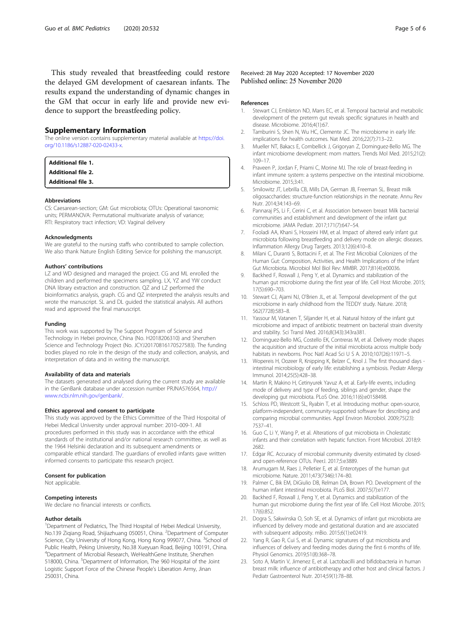<span id="page-4-0"></span>This study revealed that breastfeeding could restore the delayed GM development of caesarean infants. The results expand the understanding of dynamic changes in the GM that occur in early life and provide new evidence to support the breastfeeding policy.

#### Supplementary Information

The online version contains supplementary material available at [https://doi.](https://doi.org/10.1186/s12887-020-02433-x) [org/10.1186/s12887-020-02433-x](https://doi.org/10.1186/s12887-020-02433-x).

| Additional file 1. |  |  |
|--------------------|--|--|
| Additional file 2. |  |  |
| Additional file 3. |  |  |

#### Abbreviations

CS: Caesarean-section; GM: Gut microbiota; OTUs: Operational taxonomic units; PERMANOVA: Permutational multivariate analysis of variance; RTI: Respiratory tract infection; VD: Vaginal delivery

#### Acknowledgments

We are grateful to the nursing staffs who contributed to sample collection. We also thank Nature English Editing Service for polishing the manuscript.

#### Authors' contributions

LZ and WD designed and managed the project. CG and ML enrolled the children and performed the specimens sampling. LX, YZ and YW conduct DNA library extraction and construction. QZ and LZ performed the bioinformatics analysis, graph. CG and QZ interpreted the analysis results and wrote the manuscript. SL and DL guided the statistical analysis. All authors read and approved the final manuscript.

#### Funding

This work was supported by The Support Program of Science and Technology in Hebei province, China (No. H2018206310) and Shenzhen Science and Technology Project (No. JCYJ20170816170527583). The funding bodies played no role in the design of the study and collection, analysis, and interpretation of data and in writing the manuscript.

#### Availability of data and materials

The datasets generated and analysed during the current study are available in the GenBank database under accession number PRJNA576564, [http://](http://www.ncbi.nlm.nih.gov/genbank/) [www.ncbi.nlm.nih.gov/genbank/.](http://www.ncbi.nlm.nih.gov/genbank/)

#### Ethics approval and consent to participate

This study was approved by the Ethics Committee of the Third Hospoital of Hebei Medical University under approval number: 2010–009-1. All procedures performed in this study was in accordance with the ethical standards of the institutional and/or national research committee, as well as the 1964 Helsinki declaration and its subsequent amendments or comparable ethical standard. The guardians of enrolled infants gave written informed consents to participate this research project.

#### Consent for publication

Not applicable.

#### Competing interests

We declare no financial interests or conflicts.

#### Author details

<sup>1</sup>Department of Pediatrics, The Third Hospital of Hebei Medical University, No.139 Ziqiang Road, Shijiazhuang 050051, China. <sup>2</sup>Department of Computer Science, City University of Hong Kong, Hong Kong 999077, China. <sup>3</sup>School of Public Health, Peking University, No.38 Xueyuan Road, Beijing 100191, China. 4 Department of Microbial Research, WeHealthGene Institute, Shenzhen 518000, China. <sup>5</sup>Department of Information, The 960 Hospital of the Joint Logistic Support Force of the Chinese People's Liberation Army, Jinan 250031, China.

#### Received: 28 May 2020 Accepted: 17 November 2020 Published online: 25 November 2020

#### References

- 1. Stewart CJ, Embleton ND, Marrs EC, et al. Temporal bacterial and metabolic development of the preterm gut reveals specific signatures in health and disease. Microbiome. 2016;4(1):67.
- 2. Tamburini S, Shen N, Wu HC, Clemente JC. The microbiome in early life: implications for health outcomes. Nat Med. 2016;22(7):713–22.
- 3. Mueller NT, Bakacs E, Combellick J, Grigoryan Z, Dominguez-Bello MG. The infant microbiome development: mom matters. Trends Mol Med. 2015;21(2): 109–17.
- 4. Praveen P, Jordan F, Priami C, Morine MJ. The role of breast-feeding in infant immune system: a systems perspective on the intestinal microbiome. Microbiome. 2015;3:41.
- 5. Smilowitz JT, Lebrilla CB, Mills DA, German JB, Freeman SL. Breast milk oligosaccharides: structure-function relationships in the neonate. Annu Rev Nutr. 2014;34:143–69.
- 6. Pannaraj PS, Li F, Cerini C, et al. Association between breast Milk bacterial communities and establishment and development of the infant gut microbiome. JAMA Pediatr. 2017;171(7):647–54.
- 7. Fooladi AA, Khani S, Hosseini HM, et al. Impact of altered early infant gut microbiota following breastfeeding and delivery mode on allergic diseases. Inflammation Allergy Drug Targets. 2013;12(6):410–8.
- Milani C, Duranti S, Bottacini F, et al. The First Microbial Colonizers of the Human Gut: Composition, Activities, and Health Implications of the Infant Gut Microbiota. Microbiol Mol Biol Rev: MMBR. 2017;81(4):e00036.
- Backhed F, Roswall J, Peng Y, et al. Dynamics and stabilization of the human gut microbiome during the first year of life. Cell Host Microbe. 2015; 17(5):690–703.
- 10. Stewart CJ, Ajami NJ, O'Brien JL, et al. Temporal development of the gut microbiome in early childhood from the TEDDY study. Nature. 2018; 562(7728):583–8.
- 11. Yassour M, Vatanen T, Siljander H, et al. Natural history of the infant gut microbiome and impact of antibiotic treatment on bacterial strain diversity and stability. Sci Transl Med. 2016;8(343):343ra381.
- 12. Dominguez-Bello MG, Costello EK, Contreras M, et al. Delivery mode shapes the acquisition and structure of the initial microbiota across multiple body habitats in newborns. Proc Natl Acad Sci U S A. 2010;107(26):11971–5.
- 13. Wopereis H, Oozeer R, Knipping K, Belzer C, Knol J. The first thousand days intestinal microbiology of early life: establishing a symbiosis. Pediatr Allergy Immunol. 2014;25(5):428–38.
- 14. Martin R, Makino H, Cetinyurek Yavuz A, et al. Early-life events, including mode of delivery and type of feeding, siblings and gender, shape the developing gut microbiota. PLoS One. 2016;11(6):e0158498.
- 15. Schloss PD, Westcott SL, Ryabin T, et al. Introducing mothur: open-source, platform-independent, community-supported software for describing and comparing microbial communities. Appl Environ Microbiol. 2009;75(23): 7537–41.
- 16. Guo C, Li Y, Wang P, et al. Alterations of gut microbiota in Cholestatic infants and their correlation with hepatic function. Front Microbiol. 2018;9: 2682.
- 17. Edgar RC. Accuracy of microbial community diversity estimated by closedand open-reference OTUs. PeerJ. 2017;5:e3889.
- 18. Arumugam M, Raes J, Pelletier E, et al. Enterotypes of the human gut microbiome. Nature. 2011;473(7346):174–80.
- 19. Palmer C, Bik EM, DiGiulio DB, Relman DA, Brown PO. Development of the human infant intestinal microbiota. PLoS Biol. 2007;5(7):e177.
- 20. Backhed F, Roswall J, Peng Y, et al. Dynamics and stabilization of the human gut microbiome during the first year of life. Cell Host Microbe. 2015; 17(6):852.
- 21. Dogra S, Sakwinska O, Soh SE, et al. Dynamics of infant gut microbiota are influenced by delivery mode and gestational duration and are associated with subsequent adiposity. mBio. 2015;6(1):e02419.
- 22. Yang R, Gao R, Cui S, et al. Dynamic signatures of gut microbiota and influences of delivery and feeding modes during the first 6 months of life. Physiol Genomics. 2019;51(8):368–78.
- 23. Soto A, Martin V, Jimenez E, et al. Lactobacilli and bifidobacteria in human breast milk: influence of antibiotherapy and other host and clinical factors. J Pediatr Gastroenterol Nutr. 2014;59(1):78–88.